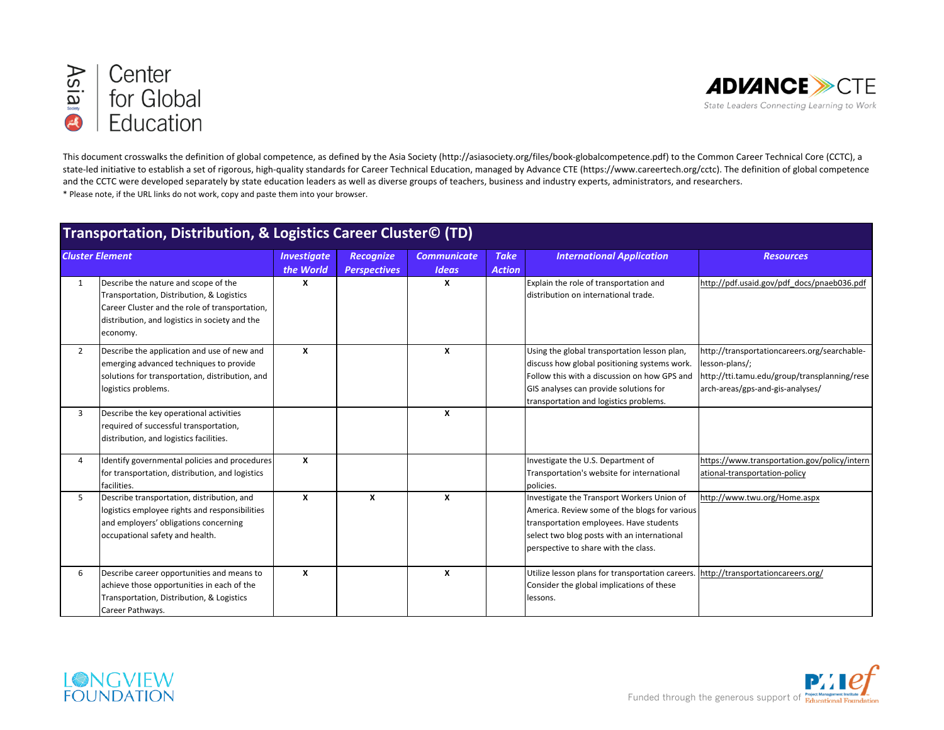



This document crosswalks the definition of global competence, as defined by the Asia Society (http://asiasociety.org/files/book-globalcompetence.pdf) to the Common Career Technical Core (CCTC), a state-led initiative to establish a set of rigorous, high-quality standards for Career Technical Education, managed by Advance CTE (https://www.careertech.org/cctc). The definition of global competence and the CCTC were developed separately by state education leaders as well as diverse groups of teachers, business and industry experts, administrators, and researchers. \* Please note, if the URL links do not work, copy and paste them into your browser.

## **Transportation, Distribution, & Logistics Career Cluster© (TD)**

| <b>Cluster Element</b> |                                                 | <b>Investigate</b> | <b>Recognize</b>          | <b>Communicate</b> | <b>Take</b>   | <b>International Application</b>                 | <b>Resources</b>                             |
|------------------------|-------------------------------------------------|--------------------|---------------------------|--------------------|---------------|--------------------------------------------------|----------------------------------------------|
|                        |                                                 | the World          | <b>Perspectives</b>       | <b>Ideas</b>       | <b>Action</b> |                                                  |                                              |
| 1                      | Describe the nature and scope of the            | x                  |                           | x                  |               | Explain the role of transportation and           | http://pdf.usaid.gov/pdf docs/pnaeb036.pdf   |
|                        | Transportation, Distribution, & Logistics       |                    |                           |                    |               | distribution on international trade.             |                                              |
|                        | Career Cluster and the role of transportation,  |                    |                           |                    |               |                                                  |                                              |
|                        | distribution, and logistics in society and the  |                    |                           |                    |               |                                                  |                                              |
|                        | economy.                                        |                    |                           |                    |               |                                                  |                                              |
| $\mathbf{2}$           | Describe the application and use of new and     | $\boldsymbol{x}$   |                           | X                  |               | Using the global transportation lesson plan,     | http://transportationcareers.org/searchable- |
|                        | emerging advanced techniques to provide         |                    |                           |                    |               | discuss how global positioning systems work.     | lesson-plans/;                               |
|                        | solutions for transportation, distribution, and |                    |                           |                    |               | Follow this with a discussion on how GPS and     | http://tti.tamu.edu/group/transplanning/rese |
|                        | logistics problems.                             |                    |                           |                    |               | GIS analyses can provide solutions for           | arch-areas/gps-and-gis-analyses/             |
|                        |                                                 |                    |                           |                    |               | transportation and logistics problems.           |                                              |
| 3                      | Describe the key operational activities         |                    |                           | X                  |               |                                                  |                                              |
|                        | required of successful transportation,          |                    |                           |                    |               |                                                  |                                              |
|                        | distribution, and logistics facilities.         |                    |                           |                    |               |                                                  |                                              |
|                        |                                                 |                    |                           |                    |               |                                                  |                                              |
| 4                      | Identify governmental policies and procedures   | X                  |                           |                    |               | Investigate the U.S. Department of               | https://www.transportation.gov/policy/intern |
|                        | for transportation, distribution, and logistics |                    |                           |                    |               | Transportation's website for international       | ational-transportation-policy                |
|                        | facilities.                                     |                    |                           |                    |               | policies.                                        |                                              |
| 5                      | Describe transportation, distribution, and      | $\boldsymbol{x}$   | $\boldsymbol{\mathsf{x}}$ | $\boldsymbol{x}$   |               | Investigate the Transport Workers Union of       | http://www.twu.org/Home.aspx                 |
|                        | logistics employee rights and responsibilities  |                    |                           |                    |               | America. Review some of the blogs for various    |                                              |
|                        | and employers' obligations concerning           |                    |                           |                    |               | transportation employees. Have students          |                                              |
|                        | occupational safety and health.                 |                    |                           |                    |               | select two blog posts with an international      |                                              |
|                        |                                                 |                    |                           |                    |               | perspective to share with the class.             |                                              |
|                        |                                                 |                    |                           |                    |               |                                                  |                                              |
| 6                      | Describe career opportunities and means to      | X                  |                           | X                  |               | Utilize lesson plans for transportation careers. | http://transportationcareers.org/            |
|                        | achieve those opportunities in each of the      |                    |                           |                    |               | Consider the global implications of these        |                                              |
|                        | Transportation, Distribution, & Logistics       |                    |                           |                    |               | lessons.                                         |                                              |
|                        | Career Pathways.                                |                    |                           |                    |               |                                                  |                                              |



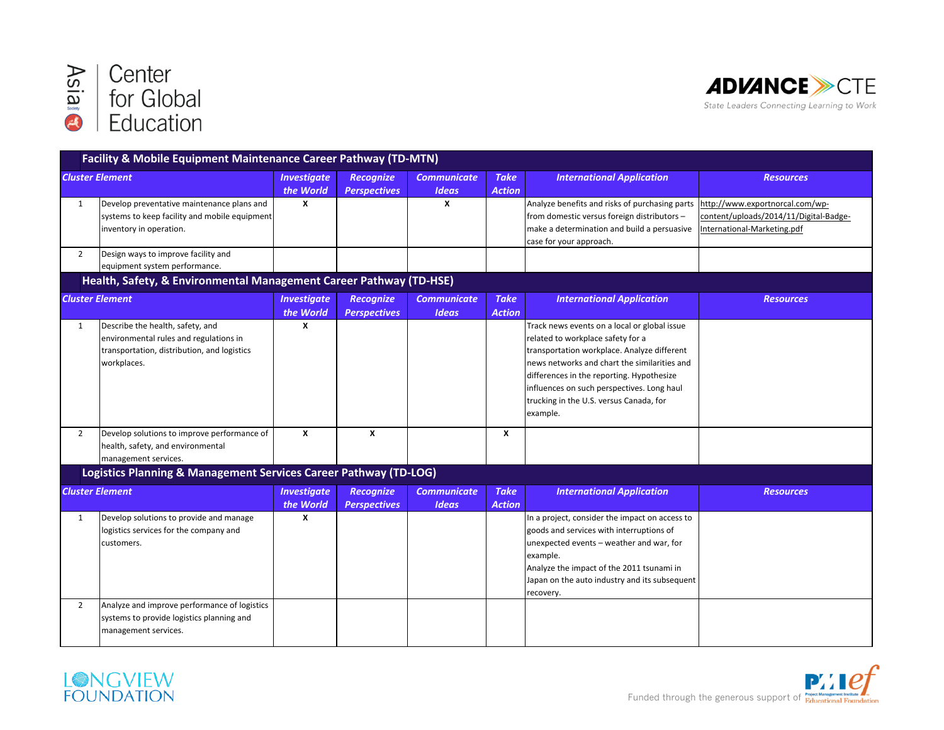



|                        | <b>Facility &amp; Mobile Equipment Maintenance Career Pathway (TD-MTN)</b>                                                               |                                 |                                         |                                    |                              |                                                                                                                                                                                                                                                                                                                                    |                                                                                                          |
|------------------------|------------------------------------------------------------------------------------------------------------------------------------------|---------------------------------|-----------------------------------------|------------------------------------|------------------------------|------------------------------------------------------------------------------------------------------------------------------------------------------------------------------------------------------------------------------------------------------------------------------------------------------------------------------------|----------------------------------------------------------------------------------------------------------|
| <b>Cluster Element</b> |                                                                                                                                          | <b>Investigate</b><br>the World | <b>Recognize</b><br><b>Perspectives</b> | <b>Communicate</b><br><b>Ideas</b> | <b>Take</b><br><b>Action</b> | <b>International Application</b>                                                                                                                                                                                                                                                                                                   | <b>Resources</b>                                                                                         |
| $\mathbf{1}$           | Develop preventative maintenance plans and<br>systems to keep facility and mobile equipment<br>inventory in operation.                   | X                               |                                         | x                                  |                              | Analyze benefits and risks of purchasing parts<br>from domestic versus foreign distributors -<br>make a determination and build a persuasive<br>case for your approach.                                                                                                                                                            | http://www.exportnorcal.com/wp-<br>content/uploads/2014/11/Digital-Badge-<br>International-Marketing.pdf |
| $\overline{2}$         | Design ways to improve facility and<br>equipment system performance.                                                                     |                                 |                                         |                                    |                              |                                                                                                                                                                                                                                                                                                                                    |                                                                                                          |
|                        | Health, Safety, & Environmental Management Career Pathway (TD-HSE)                                                                       |                                 |                                         |                                    |                              |                                                                                                                                                                                                                                                                                                                                    |                                                                                                          |
| <b>Cluster Element</b> |                                                                                                                                          | <b>Investigate</b><br>the World | <b>Recognize</b><br><b>Perspectives</b> | <b>Communicate</b><br><b>Ideas</b> | <b>Take</b><br><b>Action</b> | <b>International Application</b>                                                                                                                                                                                                                                                                                                   | <b>Resources</b>                                                                                         |
| $\mathbf{1}$           | Describe the health, safety, and<br>environmental rules and regulations in<br>transportation, distribution, and logistics<br>workplaces. | $\boldsymbol{x}$                |                                         |                                    |                              | Track news events on a local or global issue<br>related to workplace safety for a<br>transportation workplace. Analyze different<br>news networks and chart the similarities and<br>differences in the reporting. Hypothesize<br>influences on such perspectives. Long haul<br>trucking in the U.S. versus Canada, for<br>example. |                                                                                                          |
| $\overline{2}$         | Develop solutions to improve performance of<br>health, safety, and environmental<br>management services.                                 | X                               | X                                       |                                    | X                            |                                                                                                                                                                                                                                                                                                                                    |                                                                                                          |
|                        | Logistics Planning & Management Services Career Pathway (TD-LOG)                                                                         |                                 |                                         |                                    |                              |                                                                                                                                                                                                                                                                                                                                    |                                                                                                          |
| <b>Cluster Element</b> |                                                                                                                                          | <b>Investigate</b><br>the World | <b>Recognize</b><br><b>Perspectives</b> | <b>Communicate</b><br><b>Ideas</b> | <b>Take</b><br><b>Action</b> | <b>International Application</b>                                                                                                                                                                                                                                                                                                   | <b>Resources</b>                                                                                         |
| $\mathbf{1}$           | Develop solutions to provide and manage<br>logistics services for the company and<br>customers.                                          | X                               |                                         |                                    |                              | In a project, consider the impact on access to<br>goods and services with interruptions of<br>unexpected events - weather and war, for<br>example.<br>Analyze the impact of the 2011 tsunami in<br>Japan on the auto industry and its subsequent<br>recovery.                                                                      |                                                                                                          |
| $\overline{2}$         | Analyze and improve performance of logistics<br>systems to provide logistics planning and<br>management services.                        |                                 |                                         |                                    |                              |                                                                                                                                                                                                                                                                                                                                    |                                                                                                          |



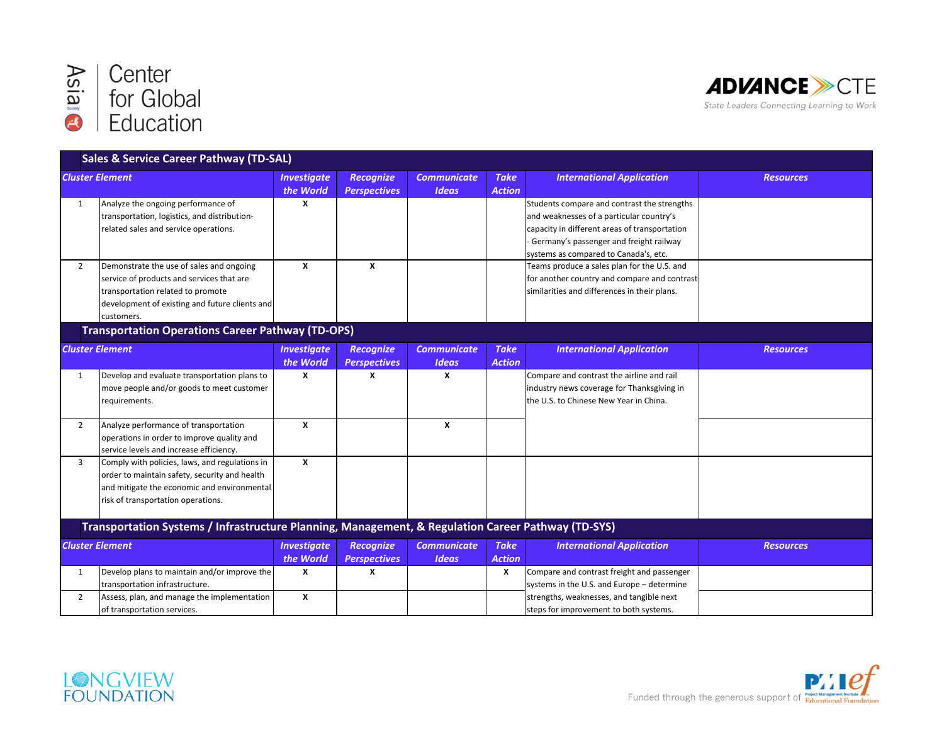



|                        | <b>Sales &amp; Service Career Pathway (TD-SAL)</b>                                                                                                                                         |                                 |                                         |                                    |                              |                                                                                                                                                                                                                              |                  |
|------------------------|--------------------------------------------------------------------------------------------------------------------------------------------------------------------------------------------|---------------------------------|-----------------------------------------|------------------------------------|------------------------------|------------------------------------------------------------------------------------------------------------------------------------------------------------------------------------------------------------------------------|------------------|
| <b>Cluster Element</b> |                                                                                                                                                                                            | <b>Investigate</b><br>the World | <b>Recognize</b><br><b>Perspectives</b> | <b>Communicate</b><br><b>Ideas</b> | <b>Take</b><br><b>Action</b> | <b>International Application</b>                                                                                                                                                                                             | <b>Resources</b> |
| 1                      | Analyze the ongoing performance of<br>transportation, logistics, and distribution-<br>related sales and service operations.                                                                | X                               |                                         |                                    |                              | Students compare and contrast the strengths<br>and weaknesses of a particular country's<br>capacity in different areas of transportation<br>Germany's passenger and freight railway<br>systems as compared to Canada's, etc. |                  |
| $\overline{2}$         | Demonstrate the use of sales and ongoing<br>service of products and services that are<br>transportation related to promote<br>development of existing and future clients and<br>customers. | X                               | X                                       |                                    |                              | Teams produce a sales plan for the U.S. and<br>for another country and compare and contrast<br>similarities and differences in their plans.                                                                                  |                  |
|                        | <b>Transportation Operations Career Pathway (TD-OPS)</b>                                                                                                                                   |                                 |                                         |                                    |                              |                                                                                                                                                                                                                              |                  |
|                        | <b>Cluster Element</b>                                                                                                                                                                     | <b>Investigate</b><br>the World | <b>Recognize</b><br><b>Perspectives</b> | <b>Communicate</b><br><b>Ideas</b> | <b>Take</b><br><b>Action</b> | <b>International Application</b>                                                                                                                                                                                             | <b>Resources</b> |
| 1                      | Develop and evaluate transportation plans to<br>move people and/or goods to meet customer<br>requirements.                                                                                 | x                               | x                                       | X                                  |                              | Compare and contrast the airline and rail<br>industry news coverage for Thanksgiving in<br>the U.S. to Chinese New Year in China.                                                                                            |                  |
| $\overline{2}$         | Analyze performance of transportation<br>operations in order to improve quality and<br>service levels and increase efficiency.                                                             | $\boldsymbol{\mathsf{x}}$       |                                         | X                                  |                              |                                                                                                                                                                                                                              |                  |
| $\overline{3}$         | Comply with policies, laws, and regulations in<br>order to maintain safety, security and health<br>and mitigate the economic and environmental<br>risk of transportation operations.       | X                               |                                         |                                    |                              |                                                                                                                                                                                                                              |                  |
|                        | Transportation Systems / Infrastructure Planning, Management, & Regulation Career Pathway (TD-SYS)                                                                                         |                                 |                                         |                                    |                              |                                                                                                                                                                                                                              |                  |
| <b>Cluster Element</b> |                                                                                                                                                                                            | <b>Investigate</b><br>the World | <b>Recognize</b><br><b>Perspectives</b> | <b>Communicate</b><br><b>Ideas</b> | <b>Take</b><br><b>Action</b> | <b>International Application</b>                                                                                                                                                                                             | <b>Resources</b> |
| 1                      | Develop plans to maintain and/or improve the<br>transportation infrastructure.                                                                                                             | X                               | X                                       |                                    | X                            | Compare and contrast freight and passenger<br>systems in the U.S. and Europe - determine                                                                                                                                     |                  |
| $\overline{2}$         | Assess, plan, and manage the implementation<br>of transportation services.                                                                                                                 | $\pmb{\chi}$                    |                                         |                                    |                              | strengths, weaknesses, and tangible next<br>steps for improvement to both systems.                                                                                                                                           |                  |